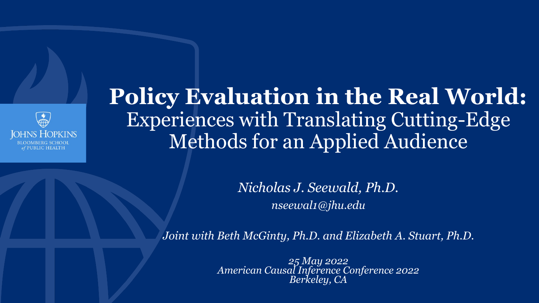

### **Policy Evaluation in the Real World:**  Experiences with Translating Cutting-Edge Methods for an Applied Audience

*Nicholas J. Seewald, Ph.D. nseewal1@jhu.edu*

*Joint with Beth McGinty, Ph.D. and Elizabeth A. Stuart, Ph.D.*

*25 May 2022 American Causal Inference Conference 2022 Berkeley, CA*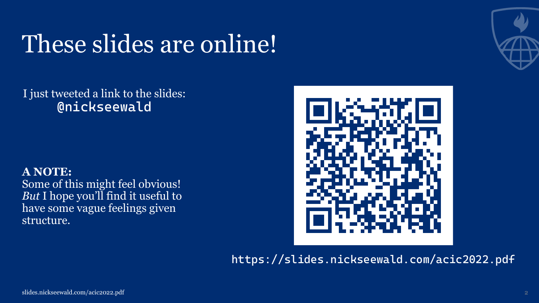### These slides are online!



### I just tweeted a link to the slides: **@nickseewald**

### **A NOTE:**

Some of this might feel obvious! *But* I hope you'll find it useful to have some vague feelings given structure.



**https://slides.nickseewald.com/acic2022.pdf**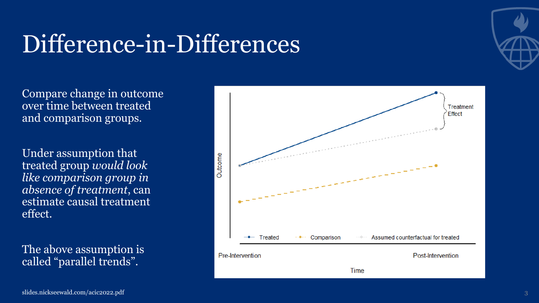### Difference-in-Differences

Compare change in outcome over time between treated and comparison groups.

Under assumption that treated group *would look like comparison group in absence of treatment*, can estimate causal treatment effect.

The above assumption is called "parallel trends".



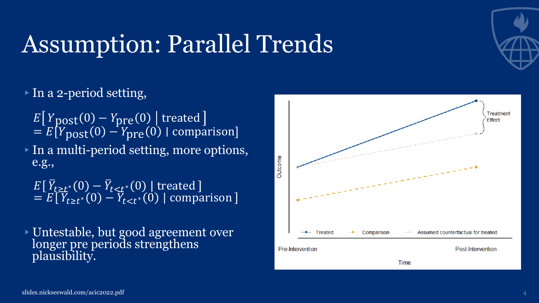### Assumption: Parallel Trends



### ▸In a 2-period setting,

 $E[Y_{\text{post}}(0) - Y_{\text{pre}}(0)]$  treated  $= E[Y_{\text{post}}(0) - Y_{\text{pre}}(0)]$  comparison]

▸In a multi-period setting, more options, e.g.,

 $E[\overline{Y}_{t\geq t^*}(0)-\overline{Y}_{t\leq t^*}(0)]$  treated  $= E[\overline{Y}_{t\geq t^*}(0) - Y_{t\leq t^*}(0)]$  comparison

▸Untestable, but good agreement over longer pre periods strengthens plausibility.

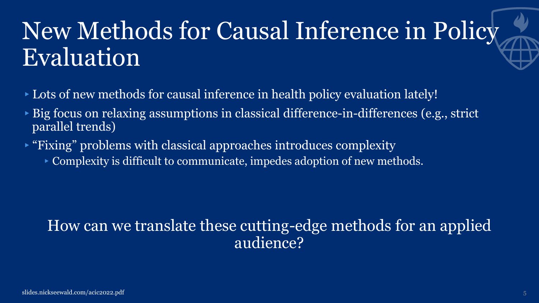### New Methods for Causal Inference in Policy Evaluation

- ▸Lots of new methods for causal inference in health policy evaluation lately!
- ▸Big focus on relaxing assumptions in classical difference-in-differences (e.g., strict parallel trends)
- ▸"Fixing" problems with classical approaches introduces complexity
	- ▸Complexity is difficult to communicate, impedes adoption of new methods.

### How can we translate these cutting-edge methods for an applied audience?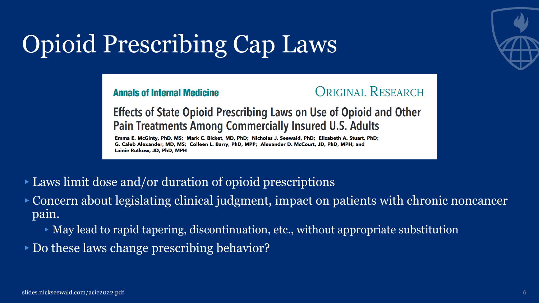# Opioid Prescribing Cap Laws



**Annals of Internal Medicine** 



**Effects of State Opioid Prescribing Laws on Use of Opioid and Other Pain Treatments Among Commercially Insured U.S. Adults** 

Emma E. McGinty, PhD, MS; Mark C. Bicket, MD, PhD; Nicholas J. Seewald, PhD; Elizabeth A. Stuart, PhD; G. Caleb Alexander, MD, MS; Colleen L. Barry, PhD, MPP; Alexander D. McCourt, JD, PhD, MPH; and Lainie Rutkow, JD, PhD, MPH

- ▸Laws limit dose and/or duration of opioid prescriptions
- ▸Concern about legislating clinical judgment, impact on patients with chronic noncancer pain.
	- ▸May lead to rapid tapering, discontinuation, etc., without appropriate substitution
- ▸Do these laws change prescribing behavior?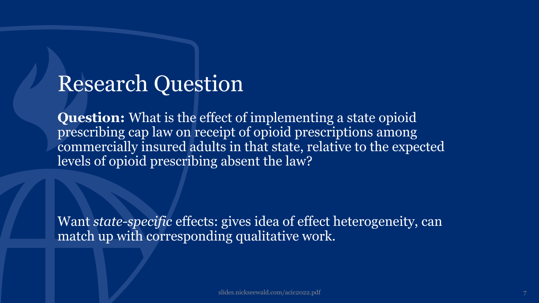### Research Question

**Question:** What is the effect of implementing a state opioid prescribing cap law on receipt of opioid prescriptions among commercially insured adults in that state, relative to the expected levels of opioid prescribing absent the law?

Want *state-specific* effects: gives idea of effect heterogeneity, can match up with corresponding qualitative work.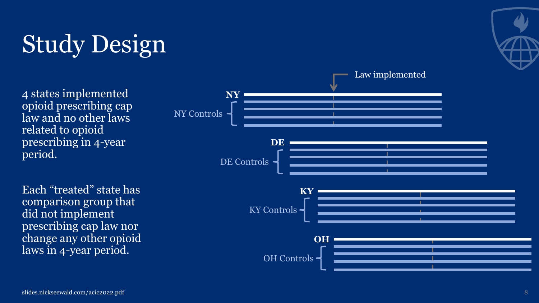# Study Design

4 states implemented opioid prescribing cap law and no other laws related to opioid prescribing in 4-year period.

Each "treated" state has comparison group that did not implement prescribing cap law nor change any other opioid laws in 4-year period.



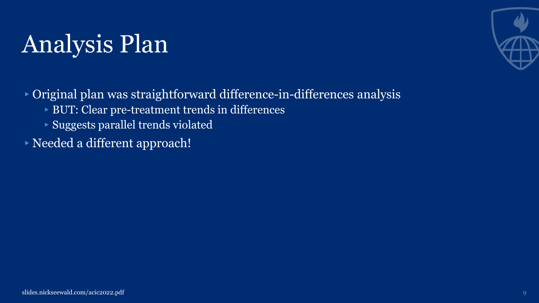### Analysis Plan



▸Original plan was straightforward difference-in-differences analysis

- ▸BUT: Clear pre-treatment trends in differences
- ▸Suggests parallel trends violated
- ▸Needed a different approach!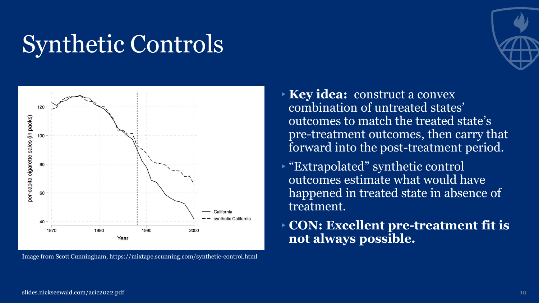### Synthetic Controls



Image from Scott Cunningham, https://mixtape.scunning.com/synthetic-control.html

- 
- ▸**Key idea:** construct a convex combination of untreated states' outcomes to match the treated state's pre-treatment outcomes, then carry that forward into the post-treatment period.
- ▸"Extrapolated" synthetic control outcomes estimate what would have happened in treated state in absence of treatment.
- ▸**CON: Excellent pre-treatment fit is not always possible.**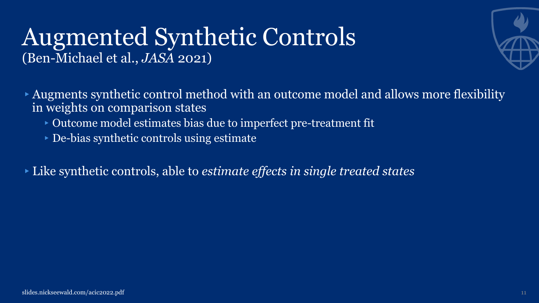### Augmented Synthetic Controls (Ben-Michael et al., *JASA* 2021)



- ▸Augments synthetic control method with an outcome model and allows more flexibility in weights on comparison states
	- ▸Outcome model estimates bias due to imperfect pre-treatment fit
	- ▸De-bias synthetic controls using estimate
- ▸Like synthetic controls, able to *estimate effects in single treated states*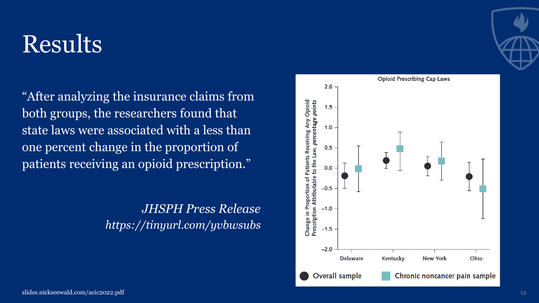### Results

"After analyzing the insurance claims from both groups, the researchers found that state laws were associated with a less than one percent change in the proportion of patients receiving an opioid prescription."

> *JHSPH Press Release https://tinyurl.com/yvbwsubs*



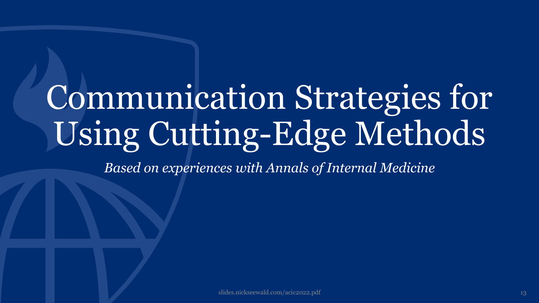# Communication Strategies for Using Cutting-Edge Methods

*Based on experiences with Annals of Internal Medicine*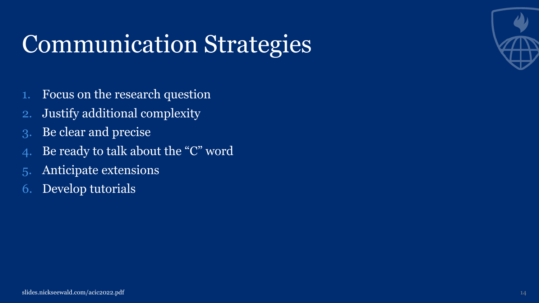### Communication Strategies

- 1. Focus on the research question
- 2. Justify additional complexity
- 3. Be clear and precise
- 4. Be ready to talk about the "C" word
- 5. Anticipate extensions
- 6. Develop tutorials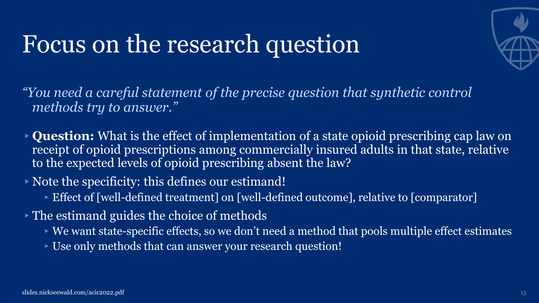### Focus on the research question



*"You need a careful statement of the precise question that synthetic control methods try to answer."*

- ▸**Question:** What is the effect of implementation of a state opioid prescribing cap law on receipt of opioid prescriptions among commercially insured adults in that state, relative to the expected levels of opioid prescribing absent the law?
- ▸Note the specificity: this defines our estimand!
	- ▸Effect of [well-defined treatment] on [well-defined outcome], relative to [comparator]
- ▸The estimand guides the choice of methods
	- $\triangleright$  We want state-specific effects, so we don't need a method that pools multiple effect estimates
	- ▸Use only methods that can answer your research question!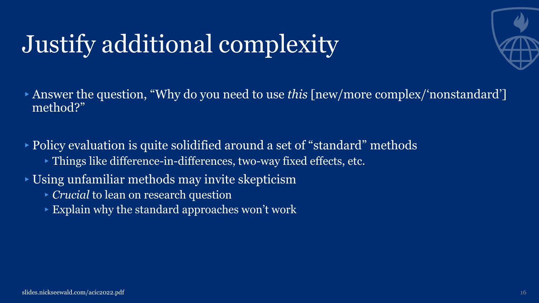# Justify additional complexity



▸Answer the question, "Why do you need to use *this* [new/more complex/'nonstandard'] method?"

▸Policy evaluation is quite solidified around a set of "standard" methods ▸Things like difference-in-differences, two-way fixed effects, etc.

▸Using unfamiliar methods may invite skepticism

- ▸*Crucial* to lean on research question
- $\triangleright$  Explain why the standard approaches won't work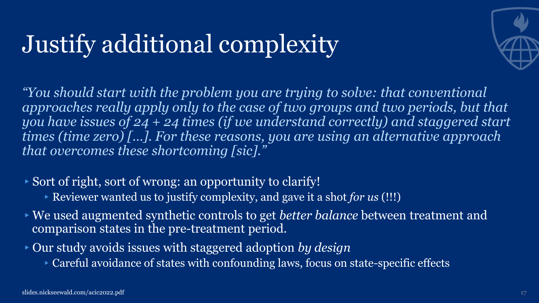### Justify additional complexity



*"You should start with the problem you are trying to solve: that conventional*  approaches really apply only to the case of two groups and two periods, but that *you have issues of 24 + 24 times (if we understand correctly) and staggered start times (time zero) […]. For these reasons, you are using an alternative approach that overcomes these shortcoming [sic]."*

- ▸Sort of right, sort of wrong: an opportunity to clarify!
	- ▸Reviewer wanted us to justify complexity, and gave it a shot *for us* (!!!)
- ▸We used augmented synthetic controls to get *better balance* between treatment and comparison states in the pre-treatment period.
- ▸Our study avoids issues with staggered adoption *by design*
	- ▸Careful avoidance of states with confounding laws, focus on state-specific effects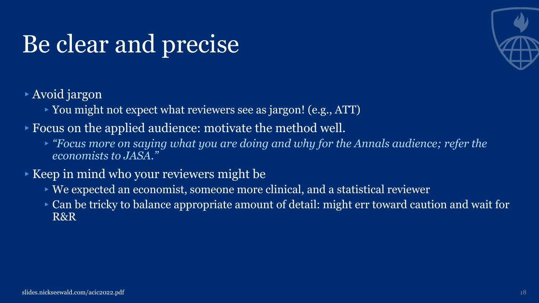### Be clear and precise



- ▸Avoid jargon
	- ▸You might not expect what reviewers see as jargon! (e.g., ATT)
- ▸Focus on the applied audience: motivate the method well.
	- ▸*"Focus more on saying what you are doing and why for the Annals audience; refer the economists to JASA."*
- ▸Keep in mind who your reviewers might be
	- ▸We expected an economist, someone more clinical, and a statistical reviewer
	- ▸Can be tricky to balance appropriate amount of detail: might err toward caution and wait for R&R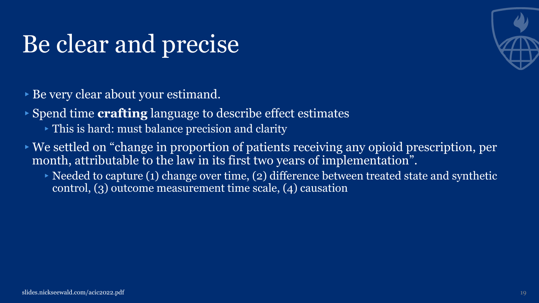### Be clear and precise



▸Be very clear about your estimand.

▸Spend time **crafting** language to describe effect estimates

- ▸This is hard: must balance precision and clarity
- ▸We settled on "change in proportion of patients receiving any opioid prescription, per month, attributable to the law in its first two years of implementation".
	- $\triangleright$  Needed to capture (1) change over time, (2) difference between treated state and synthetic control, (3) outcome measurement time scale, (4) causation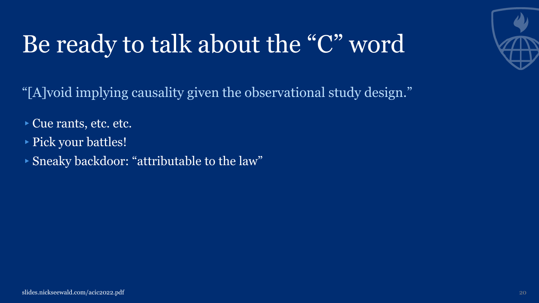# Be ready to talk about the "C" word

"[A]void implying causality given the observational study design."

- ▸Cue rants, etc. etc.
- ▸Pick your battles!
- ▸Sneaky backdoor: "attributable to the law"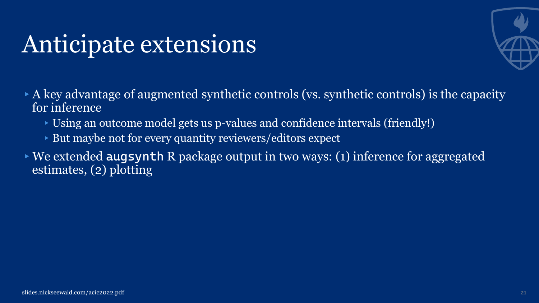### Anticipate extensions



- $\triangleright$  A key advantage of augmented synthetic controls (vs. synthetic controls) is the capacity for inference
	- ▸Using an outcome model gets us p-values and confidence intervals (friendly!)
	- ▸But maybe not for every quantity reviewers/editors expect
- ▸We extended **augsynth** R package output in two ways: (1) inference for aggregated estimates, (2) plotting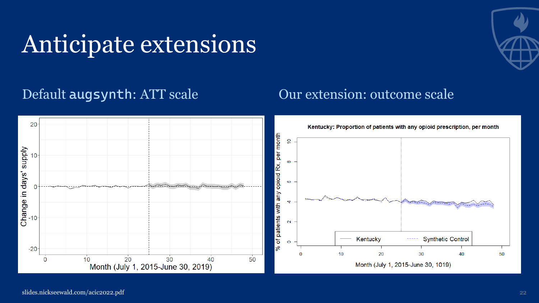### Anticipate extensions



### Default **augsynth**: ATT scale Our extension: outcome scale

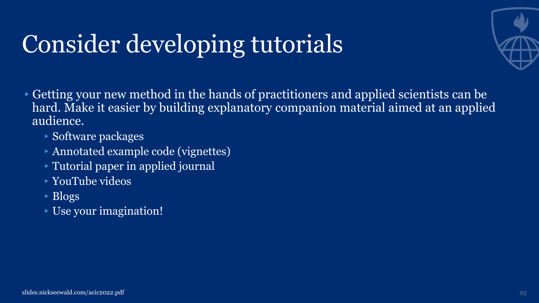# Consider developing tutorials



▸Getting your new method in the hands of practitioners and applied scientists can be hard. Make it easier by building explanatory companion material aimed at an applied audience.

- ▸Software packages
- ▸Annotated example code (vignettes)
- ▸Tutorial paper in applied journal
- ▸YouTube videos
- $\overline{\text{Blogs}}$
- ▸Use your imagination!